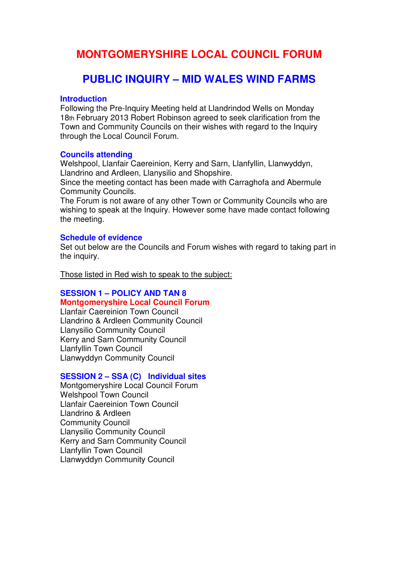# **MONTGOMERYSHIRE LOCAL COUNCIL FORUM**

# **PUBLIC INQUIRY – MID WALES WIND FARMS**

#### **Introduction**

Following the Pre-Inquiry Meeting held at Llandrindod Wells on Monday 18th February 2013 Robert Robinson agreed to seek clarification from the Town and Community Councils on their wishes with regard to the Inquiry through the Local Council Forum.

#### **Councils attending**

Welshpool, Llanfair Caereinion, Kerry and Sarn, Llanfyllin, Llanwyddyn, Llandrino and Ardleen, Llanysilio and Shopshire.

Since the meeting contact has been made with Carraghofa and Abermule Community Councils.

The Forum is not aware of any other Town or Community Councils who are wishing to speak at the Inquiry. However some have made contact following the meeting.

#### **Schedule of evidence**

Set out below are the Councils and Forum wishes with regard to taking part in the inquiry.

Those listed in Red wish to speak to the subject:

## **SESSION 1 – POLICY AND TAN 8 Montgomeryshire Local Council Forum**

Llanfair Caereinion Town Council Llandrino & Ardleen Community Council Llanysilio Community Council Kerry and Sarn Community Council Llanfyllin Town Council Llanwyddyn Community Council

## **SESSION 2 – SSA (C) Individual sites**

Montgomeryshire Local Council Forum Welshpool Town Council Llanfair Caereinion Town Council Llandrino & Ardleen Community Council Llanysilio Community Council Kerry and Sarn Community Council Llanfyllin Town Council Llanwyddyn Community Council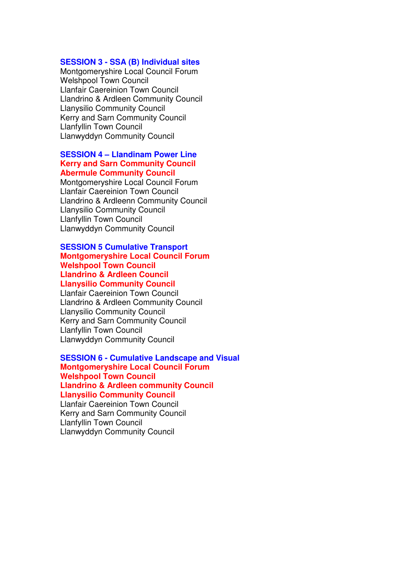#### **SESSION 3 - SSA (B) Individual sites**

Montgomeryshire Local Council Forum Welshpool Town Council Llanfair Caereinion Town Council Llandrino & Ardleen Community Council Llanysilio Community Council Kerry and Sarn Community Council Llanfyllin Town Council Llanwyddyn Community Council

#### **SESSION 4 – Llandinam Power Line Kerry and Sarn Community Council Abermule Community Council**

Montgomeryshire Local Council Forum Llanfair Caereinion Town Council Llandrino & Ardleenn Community Council Llanysilio Community Council Llanfyllin Town Council Llanwyddyn Community Council

#### **SESSION 5 Cumulative Transport Montgomeryshire Local Council Forum Welshpool Town Council Llandrino & Ardleen Council Llanysilio Community Council**

Llanfair Caereinion Town Council Llandrino & Ardleen Community Council Llanysilio Community Council Kerry and Sarn Community Council Llanfyllin Town Council Llanwyddyn Community Council

#### **SESSION 6 - Cumulative Landscape and Visual Montgomeryshire Local Council Forum Welshpool Town Council Llandrino & Ardleen community Council Llanysilio Community Council**

Llanfair Caereinion Town Council Kerry and Sarn Community Council Llanfyllin Town Council Llanwyddyn Community Council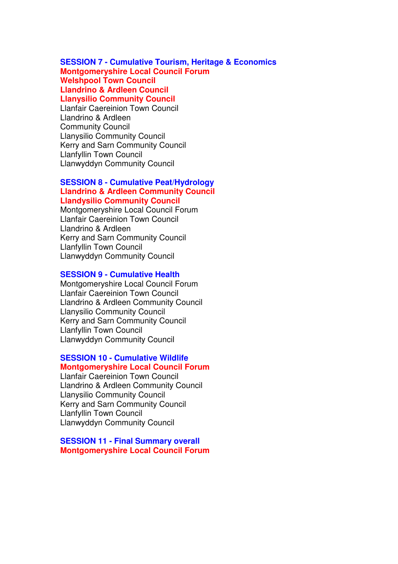## **SESSION 7 - Cumulative Tourism, Heritage & Economics Montgomeryshire Local Council Forum Welshpool Town Council Llandrino & Ardleen Council Llanysilio Community Council**

Llanfair Caereinion Town Council Llandrino & Ardleen Community Council Llanysilio Community Council Kerry and Sarn Community Council Llanfyllin Town Council Llanwyddyn Community Council

#### **SESSION 8 - Cumulative Peat/Hydrology Llandrino & Ardleen Community Council Llandysilio Community Council**

Montgomeryshire Local Council Forum Llanfair Caereinion Town Council Llandrino & Ardleen Kerry and Sarn Community Council Llanfyllin Town Council Llanwyddyn Community Council

#### **SESSION 9 - Cumulative Health**

Montgomeryshire Local Council Forum Llanfair Caereinion Town Council Llandrino & Ardleen Community Council Llanysilio Community Council Kerry and Sarn Community Council Llanfyllin Town Council Llanwyddyn Community Council

# **SESSION 10 - Cumulative Wildlife Montgomeryshire Local Council Forum**

Llanfair Caereinion Town Council Llandrino & Ardleen Community Council Llanysilio Community Council Kerry and Sarn Community Council Llanfyllin Town Council Llanwyddyn Community Council

**SESSION 11 - Final Summary overall Montgomeryshire Local Council Forum**